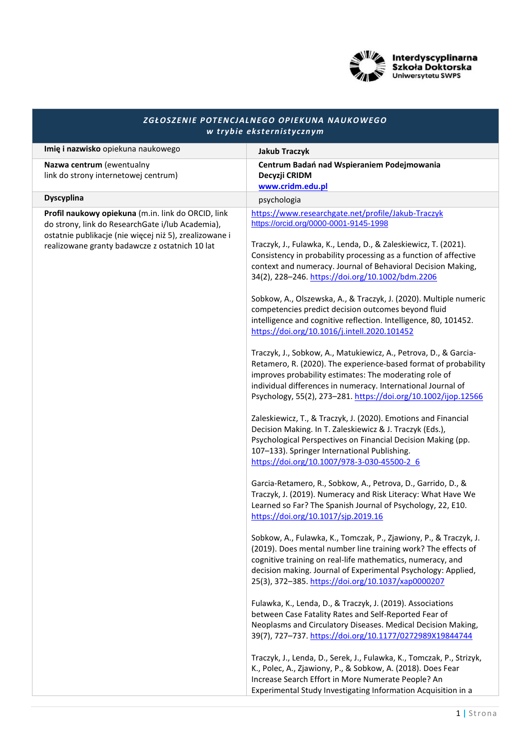

| ZGŁOSZENIE POTENCJALNEGO OPIEKUNA NAUKOWEGO<br>w trybie eksternistycznym                                                                                                                                           |                                                                                                                                                                                                                                                                                                                                 |
|--------------------------------------------------------------------------------------------------------------------------------------------------------------------------------------------------------------------|---------------------------------------------------------------------------------------------------------------------------------------------------------------------------------------------------------------------------------------------------------------------------------------------------------------------------------|
| Imię i nazwisko opiekuna naukowego                                                                                                                                                                                 | <b>Jakub Traczyk</b>                                                                                                                                                                                                                                                                                                            |
| Nazwa centrum (ewentualny<br>link do strony internetowej centrum)                                                                                                                                                  | Centrum Badań nad Wspieraniem Podejmowania<br>Decyzji CRIDM<br>www.cridm.edu.pl                                                                                                                                                                                                                                                 |
| <b>Dyscyplina</b>                                                                                                                                                                                                  | psychologia                                                                                                                                                                                                                                                                                                                     |
| Profil naukowy opiekuna (m.in. link do ORCID, link<br>do strony, link do ResearchGate i/lub Academia),<br>ostatnie publikacje (nie więcej niż 5), zrealizowane i<br>realizowane granty badawcze z ostatnich 10 lat | https://www.researchgate.net/profile/Jakub-Traczyk<br>https://orcid.org/0000-0001-9145-1998                                                                                                                                                                                                                                     |
|                                                                                                                                                                                                                    | Traczyk, J., Fulawka, K., Lenda, D., & Zaleskiewicz, T. (2021).<br>Consistency in probability processing as a function of affective<br>context and numeracy. Journal of Behavioral Decision Making,<br>34(2), 228-246. https://doi.org/10.1002/bdm.2206                                                                         |
|                                                                                                                                                                                                                    | Sobkow, A., Olszewska, A., & Traczyk, J. (2020). Multiple numeric<br>competencies predict decision outcomes beyond fluid<br>intelligence and cognitive reflection. Intelligence, 80, 101452.<br>https://doi.org/10.1016/j.intell.2020.101452                                                                                    |
|                                                                                                                                                                                                                    | Traczyk, J., Sobkow, A., Matukiewicz, A., Petrova, D., & Garcia-<br>Retamero, R. (2020). The experience-based format of probability<br>improves probability estimates: The moderating role of<br>individual differences in numeracy. International Journal of<br>Psychology, 55(2), 273-281. https://doi.org/10.1002/ijop.12566 |
|                                                                                                                                                                                                                    | Zaleskiewicz, T., & Traczyk, J. (2020). Emotions and Financial<br>Decision Making. In T. Zaleskiewicz & J. Traczyk (Eds.),<br>Psychological Perspectives on Financial Decision Making (pp.<br>107-133). Springer International Publishing.<br>https://doi.org/10.1007/978-3-030-45500-2 6                                       |
|                                                                                                                                                                                                                    | Garcia-Retamero, R., Sobkow, A., Petrova, D., Garrido, D., &<br>Traczyk, J. (2019). Numeracy and Risk Literacy: What Have We<br>Learned so Far? The Spanish Journal of Psychology, 22, E10.<br>https://doi.org/10.1017/sjp.2019.16                                                                                              |
|                                                                                                                                                                                                                    | Sobkow, A., Fulawka, K., Tomczak, P., Zjawiony, P., & Traczyk, J.<br>(2019). Does mental number line training work? The effects of<br>cognitive training on real-life mathematics, numeracy, and<br>decision making. Journal of Experimental Psychology: Applied,<br>25(3), 372-385. https://doi.org/10.1037/xap0000207         |
|                                                                                                                                                                                                                    | Fulawka, K., Lenda, D., & Traczyk, J. (2019). Associations<br>between Case Fatality Rates and Self-Reported Fear of<br>Neoplasms and Circulatory Diseases. Medical Decision Making,<br>39(7), 727-737. https://doi.org/10.1177/0272989X19844744                                                                                 |
|                                                                                                                                                                                                                    | Traczyk, J., Lenda, D., Serek, J., Fulawka, K., Tomczak, P., Strizyk,<br>K., Polec, A., Zjawiony, P., & Sobkow, A. (2018). Does Fear<br>Increase Search Effort in More Numerate People? An<br>Experimental Study Investigating Information Acquisition in a                                                                     |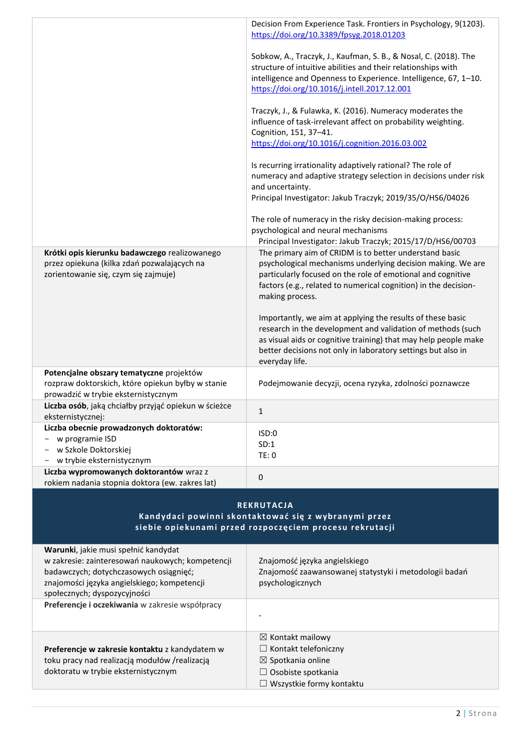|                                                                                                                                                                                                                   | Decision From Experience Task. Frontiers in Psychology, 9(1203).<br>https://doi.org/10.3389/fpsyg.2018.01203                                                                                                                                                                   |
|-------------------------------------------------------------------------------------------------------------------------------------------------------------------------------------------------------------------|--------------------------------------------------------------------------------------------------------------------------------------------------------------------------------------------------------------------------------------------------------------------------------|
|                                                                                                                                                                                                                   | Sobkow, A., Traczyk, J., Kaufman, S. B., & Nosal, C. (2018). The<br>structure of intuitive abilities and their relationships with<br>intelligence and Openness to Experience. Intelligence, 67, 1-10.<br>https://doi.org/10.1016/j.intell.2017.12.001                          |
|                                                                                                                                                                                                                   | Traczyk, J., & Fulawka, K. (2016). Numeracy moderates the<br>influence of task-irrelevant affect on probability weighting.<br>Cognition, 151, 37-41.<br>https://doi.org/10.1016/j.cognition.2016.03.002                                                                        |
|                                                                                                                                                                                                                   | Is recurring irrationality adaptively rational? The role of<br>numeracy and adaptive strategy selection in decisions under risk<br>and uncertainty.<br>Principal Investigator: Jakub Traczyk; 2019/35/O/HS6/04026                                                              |
|                                                                                                                                                                                                                   | The role of numeracy in the risky decision-making process:<br>psychological and neural mechanisms<br>Principal Investigator: Jakub Traczyk; 2015/17/D/HS6/00703                                                                                                                |
| Krótki opis kierunku badawczego realizowanego<br>przez opiekuna (kilka zdań pozwalających na<br>zorientowanie się, czym się zajmuje)                                                                              | The primary aim of CRIDM is to better understand basic<br>psychological mechanisms underlying decision making. We are<br>particularly focused on the role of emotional and cognitive<br>factors (e.g., related to numerical cognition) in the decision-<br>making process.     |
|                                                                                                                                                                                                                   | Importantly, we aim at applying the results of these basic<br>research in the development and validation of methods (such<br>as visual aids or cognitive training) that may help people make<br>better decisions not only in laboratory settings but also in<br>everyday life. |
| Potencjalne obszary tematyczne projektów<br>rozpraw doktorskich, które opiekun byłby w stanie<br>prowadzić w trybie eksternistycznym                                                                              | Podejmowanie decyzji, ocena ryzyka, zdolności poznawcze                                                                                                                                                                                                                        |
| Liczba osób, jaką chciałby przyjąć opiekun w ścieżce<br>eksternistycznej:                                                                                                                                         | 1                                                                                                                                                                                                                                                                              |
| Liczba obecnie prowadzonych doktoratów:<br>w programie ISD<br>w Szkole Doktorskiej<br>w trybie eksternistycznym                                                                                                   | ISD:0<br>SD:1<br>TE: 0                                                                                                                                                                                                                                                         |
| Liczba wypromowanych doktorantów wraz z<br>rokiem nadania stopnia doktora (ew. zakres lat)                                                                                                                        | 0                                                                                                                                                                                                                                                                              |
| <b>REKRUTACJA</b><br>Kandydaci powinni skontaktować się z wybranymi przez<br>siebie opiekunami przed rozpoczęciem procesu rekrutacji                                                                              |                                                                                                                                                                                                                                                                                |
| Warunki, jakie musi spełnić kandydat<br>w zakresie: zainteresowań naukowych; kompetencji<br>badawczych; dotychczasowych osiągnięć;<br>znajomości języka angielskiego; kompetencji<br>społecznych; dyspozycyjności | Znajomość języka angielskiego<br>Znajomość zaawansowanej statystyki i metodologii badań<br>psychologicznych                                                                                                                                                                    |
| Preferencje i oczekiwania w zakresie współpracy                                                                                                                                                                   |                                                                                                                                                                                                                                                                                |
| Preferencje w zakresie kontaktu z kandydatem w<br>toku pracy nad realizacją modułów /realizacją<br>doktoratu w trybie eksternistycznym                                                                            | $\boxtimes$ Kontakt mailowy<br>$\Box$ Kontakt telefoniczny<br>$\boxtimes$ Spotkania online<br>$\Box$ Osobiste spotkania<br>$\Box$ Wszystkie formy kontaktu                                                                                                                     |